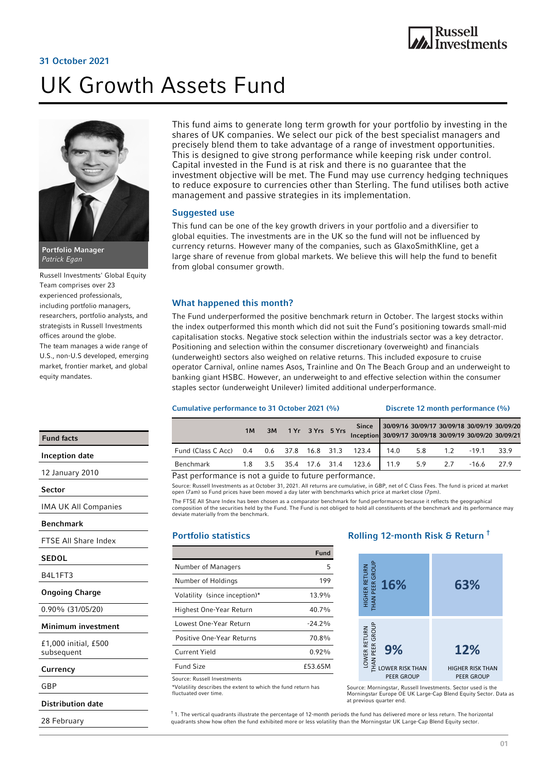# 31 October 2021

# UK Growth Assets Fund



Russell Investments' Global Equity Team comprises over 23 experienced professionals, including portfolio managers, researchers, portfolio analysts, and strategists in Russell Investments offices around the globe. The team manages a wide range of U.S., non-U.S developed, emerging market, frontier market, and global equity mandates.

This fund aims to generate long term growth for your portfolio by investing in the shares of UK companies. We select our pick of the best specialist managers and precisely blend them to take advantage of a range of investment opportunities. This is designed to give strong performance while keeping risk under control. Capital invested in the Fund is at risk and there is no guarantee that the investment objective will be met. The Fund may use currency hedging techniques to reduce exposure to currencies other than Sterling. The fund utilises both active management and passive strategies in its implementation.

#### Suggested use

This fund can be one of the key growth drivers in your portfolio and a diversifier to global equities. The investments are in the UK so the fund will not be influenced by currency returns. However many of the companies, such as GlaxoSmithKline, get a large share of revenue from global markets. We believe this will help the fund to benefit from global consumer growth.

#### What happened this month?

The Fund underperformed the positive benchmark return in October. The largest stocks within the index outperformed this month which did not suit the Fund's positioning towards small-mid capitalisation stocks. Negative stock selection within the industrials sector was a key detractor. Positioning and selection within the consumer discretionary (overweight) and financials (underweight) sectors also weighed on relative returns. This included exposure to cruise operator Carnival, online names Asos, Trainline and On The Beach Group and an underweight to banking giant HSBC. However, an underweight to and effective selection within the consumer staples sector (underweight Unilever) limited additional underperformance.

#### Cumulative performance to 31 October 2021 (%) Discrete 12 month performance (%)

|                                                              | 1M |  | 3M 1 Yr 3 Yrs 5 Yrs | Inception 30/09/17 30/09/18 30/09/19 30/09/20 30/09/21 | Since 30/09/16 30/09/17 30/09/18 30/09/19 30/09/20 |  |              |  |
|--------------------------------------------------------------|----|--|---------------------|--------------------------------------------------------|----------------------------------------------------|--|--------------|--|
| Fund (Class C Acc) 0.4 0.6 37.8 16.8 31.3 123.4 14.0 5.8 1.2 |    |  |                     |                                                        |                                                    |  | $-19.1$ 33.9 |  |
| Benchmark                                                    |    |  |                     | 1.8 3.5 35.4 17.6 31.4 123.6 11.9 5.9 2.7              |                                                    |  | $-16.6$ 27.9 |  |

Past performance is not a guide to future performance.

Source: Russell Investments as at October 31, 2021. All returns are cumulative, in GBP, net of C Class Fees. The fund is priced at market open (7am) so Fund prices have been moved a day later with benchmarks which price at market close (7pm).

The FTSE All Share Index has been chosen as a comparator benchmark for fund performance because it reflects the geographical composition of the securities held by the Fund. The Fund is not obliged to hold all constituents of the benchmark and its performance may deviate materially from the benchmark.

## Portfolio statistics

|                               | Fund     |
|-------------------------------|----------|
| Number of Managers            | 5        |
| Number of Holdings            | 199      |
| Volatility (since inception)* | 13.9%    |
| Highest One-Year Return       | 40.7%    |
| Lowest One-Year Return        | $-24.2%$ |
| Positive One-Year Returns     | 70.8%    |
| Current Yield                 | 0.92%    |
| <b>Fund Size</b>              | £53.65M  |

Source: Russell Investments

\*Volatility describes the extent to which the fund return has fluctuated over time.

# Rolling 12-month Risk & Return †



Source: Morningstar, Russell Investments. Sector used is the Morningstar Europe OE UK Large-Cap Blend Equity Sector. Data as at previous quarter end.

the vertical quadrants illustrate the percentage of 12-month periods the fund has delivered more or less return. The horizontal quadrants show how often the fund exhibited more or less volatility than the Morningstar UK Large-Cap Blend Equity sector.

Fund facts

Inception date

12 January 2010

Sector

IMA UK All Companies

#### Benchmark

FTSE All Share Index

#### **SEDOL**

B4L1FT3

#### Ongoing Charge

0.90% (31/05/20)

Minimum investment

£1,000 initial, £500 subsequent

## **Currency**

GBP

Distribution date

28 February